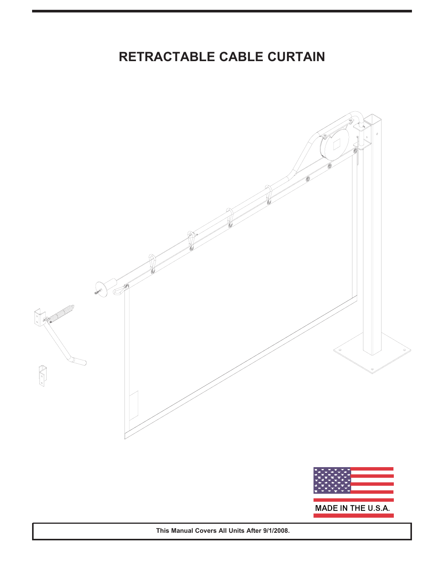# **RETRACTABLE CABLE CURTAIN**



**This Manual Covers All Units After 9/1/2008.**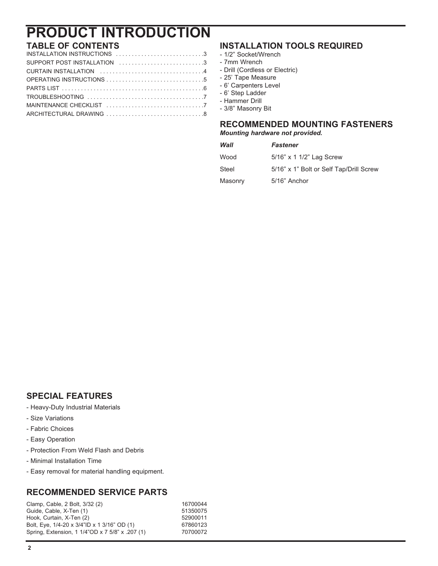# **PRODUCT INTRODUCTION**

## **TABLE OF CONTENTS**

| SUPPORT POST INSTALLATION 3 |
|-----------------------------|
|                             |
|                             |
|                             |
|                             |
|                             |
|                             |

### **INSTALLATION TOOLS REQUIRED**

### - 1/2" Socket/Wrench

- 7mm Wrench
- Drill (Cordless or Electric)
- 25' Tape Measure
- 6' Carpenters Level
- 6' Step Ladder
- Hammer Drill
- 3/8" Masonry Bit

### **RECOMMENDED MOUNTING FASTENERS**

*Mounting hardware not provided.*

| Wall    | <b>Fastener</b>                         |
|---------|-----------------------------------------|
| Wood    | 5/16" x 1 1/2" Lag Screw                |
| Steel   | 5/16" x 1" Bolt or Self Tap/Drill Screw |
| Masonry | 5/16" Anchor                            |

### **SPECIAL FEATURES**

- Heavy-Duty Industrial Materials
- Size Variations
- Fabric Choices
- Easy Operation
- Protection From Weld Flash and Debris
- Minimal Installation Time
- Easy removal for material handling equipment.

### **RECOMMENDED SERVICE PARTS**

Clamp, Cable, 2 Bolt, 3/32 (2) 16700044 Guide, Cable, X-Ten (1) 51350075<br>
Hook, Curtain, X-Ten (2) 52900011 Hook, Curtain, X-Ten (2) 52900011<br>Bolt. Eve. 1/4-20 x 3/4"ID x 1 3/16" OD (1) 67860123 Bolt, Eye, 1/4-20 x 3/4"ID x 1 3/16" OD (1) Spring, Extension, 1 1/4"OD x 7 5/8" x .207 (1) 70700072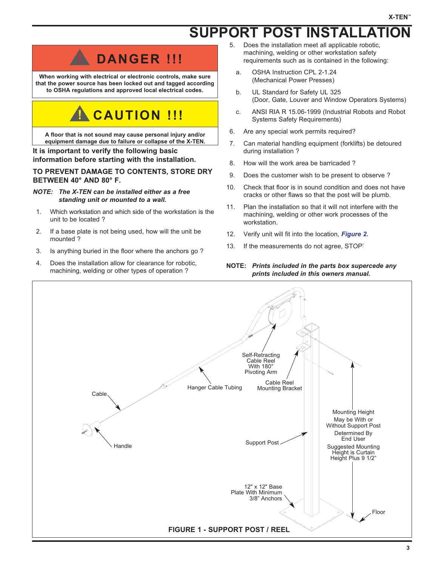# **SUPPORT POST INSTALLATION**



**When working with electrical or electronic controls, make sure that the power source has been locked out and tagged according to OSHA regulations and approved local electrical codes.**

# **! CAUTION !!!**

**A floor that is not sound may cause personal injury and/or equipment damage due to failure or collapse of the X-TEN.**

#### **It is important to verify the following basic information before starting with the installation.**

#### **TO PREVENT DAMAGE TO CONTENTS, STORE DRY BETWEEN 40° AND 80° F.**

#### *NOTE: The X-TEN can be installed either as a free standing unit or mounted to a wall.*

- 1. Which workstation and which side of the workstation is the unit to be located ?
- 2. If a base plate is not being used, how will the unit be mounted ?
- 3. Is anything buried in the floor where the anchors go ?
- 4. Does the installation allow for clearance for robotic, machining, welding or other types of operation ?
- 5. Does the installation meet all applicable robotic, machining, welding or other workstation safety requirements such as is contained in the following:
	- a. OSHA Instruction CPL 2-1.24 (Mechanical Power Presses)
	- b. UL Standard for Safety UL 325 (Door, Gate, Louver and Window Operators Systems)
	- c. ANSI RIA R 15.06-1999 (Industrial Robots and Robot Systems Safety Requirements)
- 6. Are any special work permits required?
- 7. Can material handling equipment (forklifts) be detoured during installation ?
- 8. How will the work area be barricaded ?
- 9. Does the customer wish to be present to observe ?
- 10. Check that floor is in sound condition and does not have cracks or other flaws so that the post will be plumb.
- 11. Plan the installation so that it will not interfere with the machining, welding or other work processes of the workstation.
- 12. Verify unit will fit into the location, *Figure 2.*
- 13. If the measurements do not agree, STOP

#### **NOTE:** *Prints included in the parts box supercede any prints included in this owners manual.*

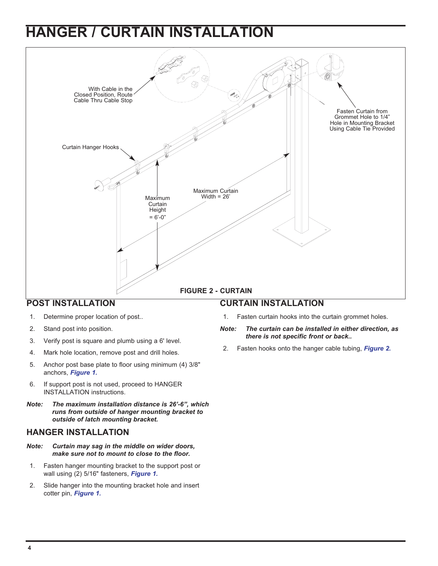# **HANGER / CURTAIN INSTALLATION**



- 1. Determine proper location of post..
- 2. Stand post into position.
- 3. Verify post is square and plumb using a 6' level.
- 4. Mark hole location, remove post and drill holes.
- 5. Anchor post base plate to floor using minimum (4) 3/8" anchors, *Figure 1.*
- 6. If support post is not used, proceed to HANGER INSTALLATION instructions.
- *Note: The maximum installation distance is 26'-6", which runs from outside of hanger mounting bracket to outside of latch mounting bracket.*

#### **HANGER INSTALLATION**

- *Note: Curtain may sag in the middle on wider doors, make sure not to mount to close to the floor.*
- 1. Fasten hanger mounting bracket to the support post or wall using (2) 5/16" fasteners, *Figure 1.*
- 2. Slide hanger into the mounting bracket hole and insert cotter pin, *Figure 1.*
- 1. Fasten curtain hooks into the curtain grommet holes.
- *Note: The curtain can be installed in either direction, as there is not specific front or back..*
- 2. Fasten hooks onto the hanger cable tubing, *Figure 2.*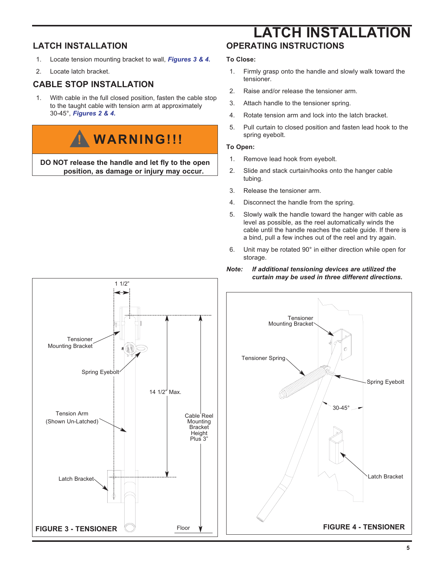### **LATCH INSTALLATION**

- 1. Locate tension mounting bracket to wall, *Figures 3 & 4.*
- 2. Locate latch bracket.

### **CABLE STOP INSTALLATION**

1. With cable in the full closed position, fasten the cable stop to the taught cable with tension arm at approximately 30-45°, *Figures 2 & 4.*

# **! WARNING!!!**

**DO NOT release the handle and let fly to the open position, as damage or injury may occur.**

## **OPERATING INSTRUCTIONS LATCH INSTALLATION**

#### **To Close:**

- 1. Firmly grasp onto the handle and slowly walk toward the tensioner.
- 2. Raise and/or release the tensioner arm.
- 3. Attach handle to the tensioner spring.
- 4. Rotate tension arm and lock into the latch bracket.
- 5. Pull curtain to closed position and fasten lead hook to the spring eyebolt.

#### **To Open:**

- 1. Remove lead hook from eyebolt.
- 2. Slide and stack curtain/hooks onto the hanger cable tubing.
- 3. Release the tensioner arm.
- 4. Disconnect the handle from the spring.
- 5. Slowly walk the handle toward the hanger with cable as level as possible, as the reel automatically winds the cable until the handle reaches the cable guide. If there is a bind, pull a few inches out of the reel and try again.
- 6. Unit may be rotated 90° in either direction while open for storage.



#### *Note: If additional tensioning devices are utilized the curtain may be used in three different directions.*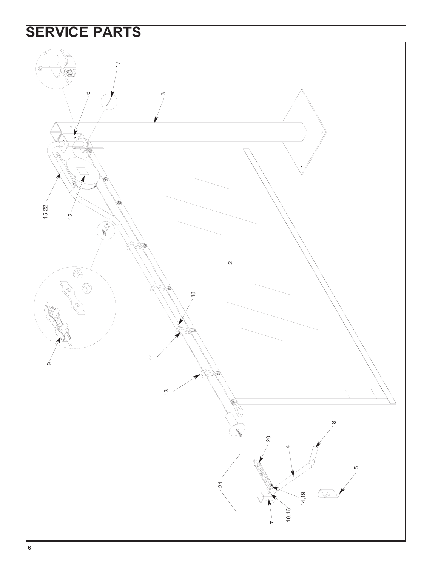# **SERVICE PARTS**

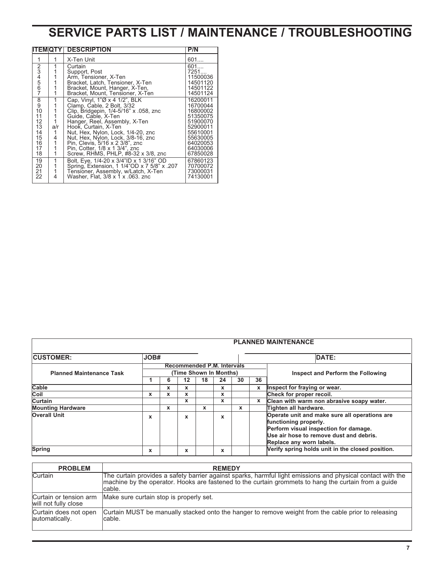# **SERVICE PARTS LIST / MAINTENANCE / TROUBLESHOOTING**

|                                           |     | <b>ITEMIQTY DESCRIPTION</b>                 | P/N      |
|-------------------------------------------|-----|---------------------------------------------|----------|
| 1                                         |     | X-Ten Unit                                  | 601      |
| 234567                                    |     | Curtain                                     | 601      |
|                                           |     | Support, Post                               | 7251     |
|                                           |     | Arm, Tensioner, X-Ten                       | 11500036 |
|                                           |     | Bracket, Latch, Tensioner, X-Ten            | 14501120 |
|                                           |     | Bracket, Mount, Hanger, X-Ten,              | 14501122 |
|                                           |     | Bracket, Mount, Tensioner, X-Ten            | 14501124 |
| $\begin{smallmatrix}8\9\end{smallmatrix}$ |     | Cap, Vinyl, 1"Ø x 4 1/2", BLK               | 16200011 |
|                                           |     | Clamp, Cable, 2 Bolt, 3/32                  | 16700044 |
| 10                                        |     | Clip, Bridgepin, 1/4-5/16" x .058, znc      | 16800002 |
| 11                                        |     | Guide, Cable, X-Ten                         | 51350075 |
| 12                                        |     | Hanger, Reel, Assembly, X-Ten               | 51900070 |
| 13                                        | a/r | Hook, Curtain, X-Ten                        | 52900011 |
| 14                                        | 1   | Nut, Hex, Nylon, Lock, 1/4-20, znc          | 55610001 |
| 15                                        | 4   | Nut, Hex, Nylon, Lock, 3/8-16, znc          | 55630005 |
| 16                                        |     | Pin, Clevis, 5/16 x 2 3/8", znc             | 64020053 |
| 17                                        |     | Pin, Cotter, 1/8 x 1 3/4", znc              | 64030006 |
| 18                                        |     | Screw, RHMS, PHLP, #8-32 x 3/8, znc         | 67850028 |
| 19                                        | 1   | Bolt, Eye, 1/4-20 x 3/4"ID x 1 3/16" OD     | 67860123 |
| 20                                        |     | Spring, Extension, 1 1/4"OD x 7 5/8" x .207 | 70700072 |
| 21                                        |     | Tensioner, Assembly, w/Latch, X-Ten         | 73000031 |
| 22                                        | 4   | Washer, Flat, 3/8 x 1 x .063. znc           | 74130001 |
|                                           |     |                                             |          |

| <b>PLANNED MAINTENANCE</b>                                                                                                        |      |   |                                   |   |   |   |              |                                                                                                                                                                                        |  |  |
|-----------------------------------------------------------------------------------------------------------------------------------|------|---|-----------------------------------|---|---|---|--------------|----------------------------------------------------------------------------------------------------------------------------------------------------------------------------------------|--|--|
| <b>CUSTOMER:</b>                                                                                                                  | JOB# |   |                                   |   |   |   |              | DATE:                                                                                                                                                                                  |  |  |
| <b>Recommended P.M. Intervals</b><br>(Time Shown In Months)<br><b>Planned Maintenance Task</b><br>36<br>18<br>24<br>30<br>12<br>6 |      |   | Inspect and Perform the Following |   |   |   |              |                                                                                                                                                                                        |  |  |
| Cable                                                                                                                             |      | x | x                                 |   | x |   | $\mathbf{x}$ | Inspect for fraying or wear.                                                                                                                                                           |  |  |
| Coil                                                                                                                              | x    | x | $\mathbf x$                       |   | x |   |              | Check for proper recoil.                                                                                                                                                               |  |  |
| Curtain                                                                                                                           |      |   | $\mathbf x$                       |   | x |   | $\mathbf{x}$ | Clean with warm non abrasive soapy water.                                                                                                                                              |  |  |
| <b>Mounting Hardware</b>                                                                                                          |      | x |                                   | X |   | x |              | Tighten all hardware.                                                                                                                                                                  |  |  |
| <b>Overall Unit</b>                                                                                                               | x    |   | X                                 |   | X |   |              | Operate unit and make sure all operations are<br>functioning properly.<br>Perform visual inspection for damage.<br>Use air hose to remove dust and debris.<br>Replace any worn labels. |  |  |
| Spring<br>x                                                                                                                       |      |   | X                                 |   | X |   |              | Verify spring holds unit in the closed position.                                                                                                                                       |  |  |

| <b>PROBLEM</b>                                 | <b>REMEDY</b>                                                                                                                                                                                                                  |
|------------------------------------------------|--------------------------------------------------------------------------------------------------------------------------------------------------------------------------------------------------------------------------------|
| Curtain                                        | The curtain provides a safety barrier against sparks, harmful light emissions and physical contact with the<br>machine by the operator. Hooks are fastened to the curtain grommets to hang the curtain from a guide<br>lcable. |
| Curtain or tension arm<br>will not fully close | Make sure curtain stop is properly set.                                                                                                                                                                                        |
| Curtain does not open<br>lautomatically.       | Curtain MUST be manually stacked onto the hanger to remove weight from the cable prior to releasing<br>cable.                                                                                                                  |